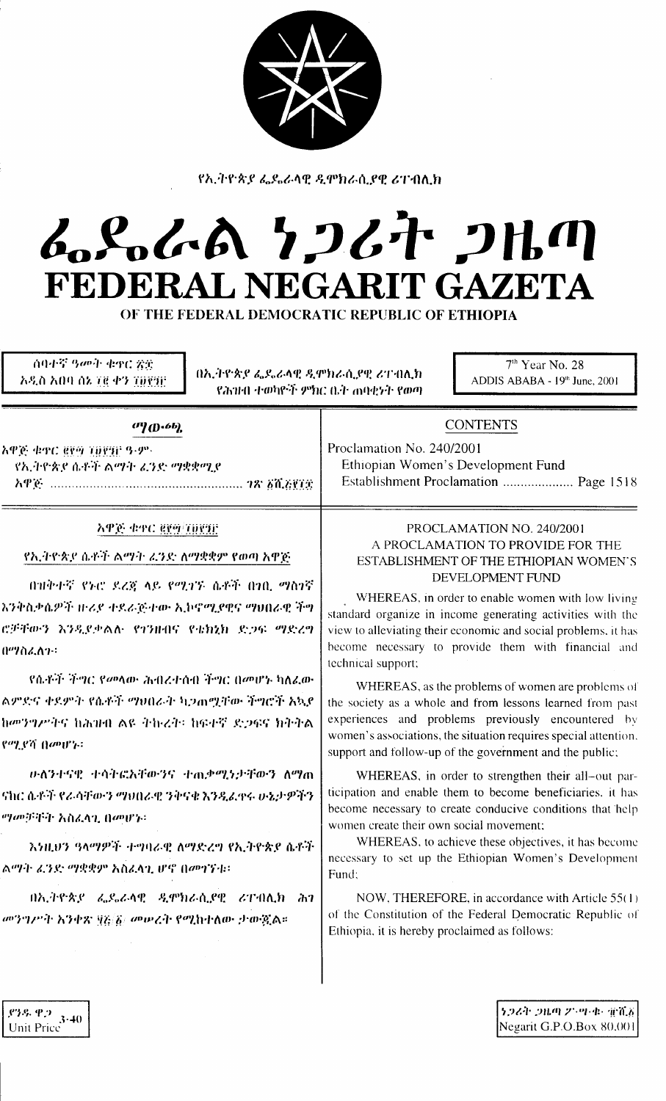

የኢትዮጵያ ፌዴራላዊ ዲሞክራሲያዊ ሪፐብሊክ

# んらんあ クフムヤ フルの FEDERAL NEGARIT GAZETA

OF THE FEDERAL DEMOCRATIC REPUBLIC OF ETHIOPIA

ሰባተኛ ዓመት ቁዋር ጽድ አዲስ አበባ ሰኔ ፲፪ ቀን ፲፱፻፺፫

በኢትዮጵያ ፌዴራላዊ ዲሞክራሲያዊ ሪፐብሊክ የሕዝብ ተወካዮች ምክር ቤት ሐባቂነት የወጣ

 $7<sup>th</sup>$  Year No. 28 ADDIS ABABA - 19th June, 2001

| $^{(1)}(D^{.6}b)$                                                                                                                                                                                                                                                                                                                                                                                                                                                                                                                                                                                                                             | <b>CONTENTS</b>                                                                                                                                                                                                                                                                                                                                                                                                                                                                                                                                                                                                                                                                                                                                                                                                                                                                                                                                                                                                                                                                                                                                                                                                                    |  |  |
|-----------------------------------------------------------------------------------------------------------------------------------------------------------------------------------------------------------------------------------------------------------------------------------------------------------------------------------------------------------------------------------------------------------------------------------------------------------------------------------------------------------------------------------------------------------------------------------------------------------------------------------------------|------------------------------------------------------------------------------------------------------------------------------------------------------------------------------------------------------------------------------------------------------------------------------------------------------------------------------------------------------------------------------------------------------------------------------------------------------------------------------------------------------------------------------------------------------------------------------------------------------------------------------------------------------------------------------------------------------------------------------------------------------------------------------------------------------------------------------------------------------------------------------------------------------------------------------------------------------------------------------------------------------------------------------------------------------------------------------------------------------------------------------------------------------------------------------------------------------------------------------------|--|--|
| <u>አዋጅ ቁዋር ፪፻፵ ፲፱፻፺፫ ዓ-ም-</u><br>የኢትዮጵያ ሴቶች ልማት ፈንድ ማቋቋሚያ                                                                                                                                                                                                                                                                                                                                                                                                                                                                                                                                                                                     | Proclamation No. 240/2001<br>Ethiopian Women's Development Fund<br>Establishment Proclamation  Page 1518                                                                                                                                                                                                                                                                                                                                                                                                                                                                                                                                                                                                                                                                                                                                                                                                                                                                                                                                                                                                                                                                                                                           |  |  |
| APE 44C EET TOETE<br>የኢትዮጵያ ሴቶች ልማት ፈንድ ለማቋቋም የወጣ አዋጅ<br>በዝቅተኛ የኑሮ ደረጃ ላይ የሚገኙ ሴቶች በነቢ ማስነኛ<br>እንቅስቃሴዎች ዙሪያ ተደራጅተው ኢኮኖሚያዊና ማህበራዊ ችግ<br>ሮቻቸውን እንዲደቃልሉ የገንዙበና የቴክኒክ ድጋፍ ማድረግ<br>በማስፈለጉ።<br>.የሴቶች ችግር የመላው ሕብረተሰብ ችግር በመሆኑ ካለፈው<br>ልምድና ቀደምት የሴቶች ማፀበራት ኳጋጠሟቸው ችግሮች አኳደ<br>ከመንግሥትና ከሕዝብ ልዩ ትኩረት፡ ከፍተኛ ድጋፍና ክትትል<br>$\mathcal{C}^{op}$ $\mathcal{C}^{\gamma}$ (lapt'):<br>ውለንተናዊ ተሳትፎአቸውንና ተ <sub>ጠ</sub> ቃሚነታቸውን ለማጠ<br>ናክር ሴቶች የራሳቸውን ማፀበራዊ ንቅናቄ እንዲፈዋሩ ሁኔታዎችን<br><i>ሚመቻቸት አስፈ</i> ላጊ በመሆኑ፡<br>እንዚህን ዓላማዎች ተግባራዊ ለማድረግ የኢትዮጵያ ሴቶች<br><u>ልማት ፈንድ ማቋቋም አስፈላጊ ሆኖ በመገኘቱ።</u><br>በኢትዮጵያ ፌዴራላዊ ዲሞክራሲያዊ ሪፐብሊክ ሕገ<br>መንግሥት እንቀጽ ፶፩ ፩/ መሠረት የሚከተለው ታውጇል። | PROCLAMATION NO. 240/2001<br>A PROCLAMATION TO PROVIDE FOR THE<br><b>ESTABLISHMENT OF THE ETHIOPIAN WOMEN'S</b><br>DEVELOPMENT FUND<br>WHEREAS, in order to enable women with low living<br>standard organize in income generating activities with the<br>view to alleviating their economic and social problems, it has<br>become necessary to provide them with financial and<br>technical support;<br>WHEREAS, as the problems of women are problems of<br>the society as a whole and from lessons learned from past<br>experiences and problems previously encountered by<br>women's associations, the situation requires special attention.<br>support and follow-up of the government and the public;<br>WHEREAS, in order to strengthen their all-out par-<br>ticipation and enable them to become beneficiaries, it has<br>become necessary to create conducive conditions that help<br>women create their own social movement;<br>WHEREAS, to achieve these objectives, it has become<br>necessary to set up the Ethiopian Women's Development<br>Fund;<br>NOW, THEREFORE, in accordance with Article 55(1)<br>of the Constitution of the Federal Democratic Republic of<br>Ethiopia, it is hereby proclaimed as follows: |  |  |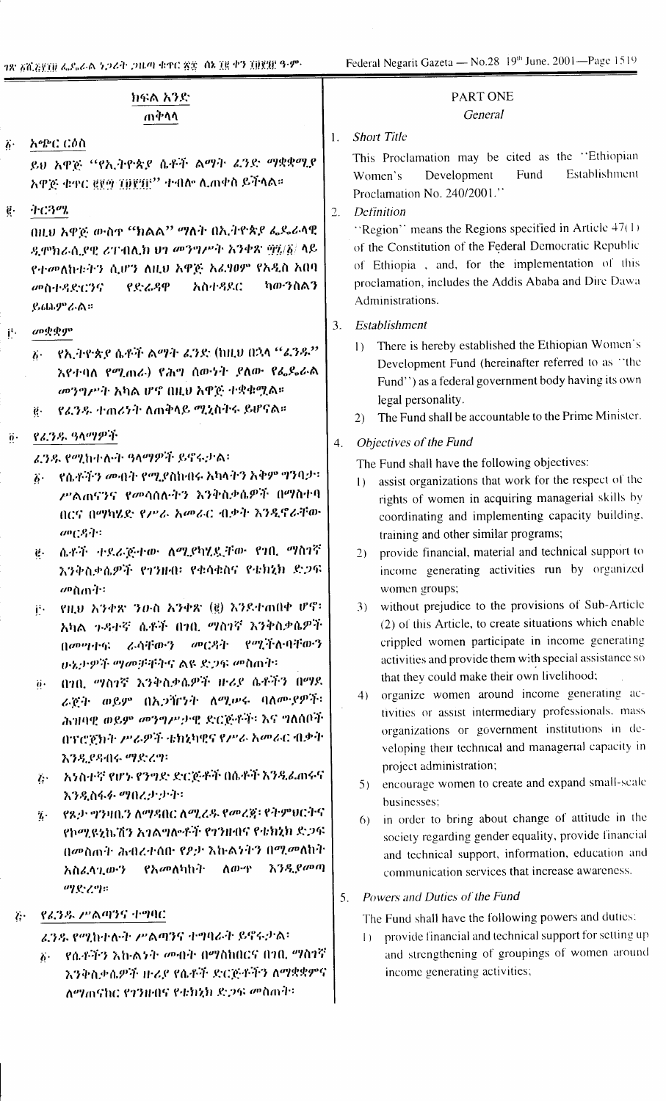78 50.5830 ፌዴራል ነጋሪት ጋዜጣ ቁጥር ጽጽ ብኔ 38 ቀን 30838 ዓ.ም.

Federal Negarit Gazeta — No.28 19<sup>th</sup> June, 2001—Page 1519

|                              | ክፍል አንድ<br>ጠቅሳሳ                                                                                                                                                                                                                                                                                                                                                                                                                                                                                                                                                                                                                                                                                                                                                                                                                                                            | PART ONE<br>General                                                                                                                                                                                                                                                                                                                                                                                                                                                                                                                                                                                                                                                                                                                                                                                                                                                                                                                                                                                                                                                                                                                                                                                                                                                                                                 |
|------------------------------|----------------------------------------------------------------------------------------------------------------------------------------------------------------------------------------------------------------------------------------------------------------------------------------------------------------------------------------------------------------------------------------------------------------------------------------------------------------------------------------------------------------------------------------------------------------------------------------------------------------------------------------------------------------------------------------------------------------------------------------------------------------------------------------------------------------------------------------------------------------------------|---------------------------------------------------------------------------------------------------------------------------------------------------------------------------------------------------------------------------------------------------------------------------------------------------------------------------------------------------------------------------------------------------------------------------------------------------------------------------------------------------------------------------------------------------------------------------------------------------------------------------------------------------------------------------------------------------------------------------------------------------------------------------------------------------------------------------------------------------------------------------------------------------------------------------------------------------------------------------------------------------------------------------------------------------------------------------------------------------------------------------------------------------------------------------------------------------------------------------------------------------------------------------------------------------------------------|
| $\ddot{b}$ .<br>$\mathbf{e}$ | አጭር ርዕስ<br>ይህ አዋጅ ''የኢትዮጵያ ሴቶች ልማት ፈንድ ማቋቋሚያ<br>አዋጅ ቁተር ፪፻፵ ፲፱፻፺፫'' ተብሎ ሊጠቀስ ይችላል።<br>ትርጓሜ<br>በዚህ አዋጅ ውስዋ ''ክልል'' ''ክላት በኢትዮጵያ ፌዴራላዊ                                                                                                                                                                                                                                                                                                                                                                                                                                                                                                                                                                                                                                                                                                                                       | <b>Short Title</b><br>-1.<br>This Proclamation may be cited as the "Ethiopian<br>Establishment<br>Development<br>Fund<br>Women's<br>Proclamation No. 240/2001."<br>Definition<br>2.<br>"Region" means the Regions specified in Article $47(1)$<br>of the Constitution of the Federal Democratic Republic                                                                                                                                                                                                                                                                                                                                                                                                                                                                                                                                                                                                                                                                                                                                                                                                                                                                                                                                                                                                            |
|                              | ዲሞክራሲያዊ ሪፐብሊክ ህን መንግሥት አንቀጽ ፵፯/፩/ ላይ<br>የተመለከቱትን ሲሆን ለዚህ አዋጅ አፈፃፀም የአዲስ አበባ<br>ካውንስልን<br>አስተዳደር<br>የደራዳዋ<br>መስተዳድሮንና<br>ይጨምራል።                                                                                                                                                                                                                                                                                                                                                                                                                                                                                                                                                                                                                                                                                                                                             | of Ethiopia , and, for the implementation of this<br>proclamation, includes the Addis Ababa and Dire Dawa<br>Administrations.                                                                                                                                                                                                                                                                                                                                                                                                                                                                                                                                                                                                                                                                                                                                                                                                                                                                                                                                                                                                                                                                                                                                                                                       |
| $\mathbf{r}$                 | መቋቋም<br>የኢትዮጵያ ሴቶች ልማት ፈንድ (ከዚህ በኋላ "ፈንዱ"<br>$\ddot{b}$ .<br>እየተባለ የሚጠራ) የሕግ ሰውነት ያለው የፌዶራል<br>መንግሥት አካል ሆኖ በዚህ አዋጅ ተቋቁሟል።<br>የፈንዱ ተጠሪንት ለጠቅላይ ሚኒስትሩ ይሆናል።<br>$\boldsymbol{e} \cdot$                                                                                                                                                                                                                                                                                                                                                                                                                                                                                                                                                                                                                                                                                       | Establishment<br>3.<br>There is hereby established the Ethiopian Women's<br>$\mathbf{I}$<br>Development Fund (hereinafter referred to as "the<br>Fund'') as a federal government body having its own<br>legal personality.<br>The Fund shall be accountable to the Prime Minister.<br>2)                                                                                                                                                                                                                                                                                                                                                                                                                                                                                                                                                                                                                                                                                                                                                                                                                                                                                                                                                                                                                            |
| $\ddot{\mathbf{0}}$ .        | የፈንዱ ዓላማዎች<br>ፈንዱ የሚከተሉት ዓላማዎች ይኖሩታል፡<br>የሴቶችን መብት የሚያስከብሩ አካላትን አቅም ግንባታ፡፡<br>$\ddot{\theta}$ .<br>ሥልጠናንና የመሳሰሉትን እንቅስቃሴዎች በማስተባ<br>በርና በማካሄድ የሥራ አመራር ብቃት እንዲኖራቸው<br>$O^0C^2$ $\cdot$ $\cdot$<br>ሴቶች ተደራጅተው ለሚያካሂዷቸው የ10. ማስገኛ<br>$\mathbf{e}$ .<br>እንቅስቃሴዎች የጎንዙብ፡ የቁሳቁስና የቴክኒክ ድጋፍ<br>መስጠት፡<br>የዚህ አንቀጽ ንዑስ አንቀጽ (፪) እንደተጠበቀ ሆኖ፡<br>j.<br>አካል ጉዳተኛ ሴቶች በኀቢ ማስነኛ እንቅስቃሴዎች<br>በመሣተፍ ራሳቸውን መርዳት የሚችሉባቸውን<br>ሁኔታዎች ማመቻቸትና ልዩ ድጋፍ መስጠት፡<br>በነበ. ማስነኛ እንቅስቃሴዎች ዙሪያ ሴቶችን በማደ<br>$\ddot{\theta}$ .<br>ራጀት ወይም በኢንዥንት ለሚሥሩ ባለሙያዎች፡<br>ሕዝባዊ ወይም መንግሥታዊ ድርጅቶች፡ እና ግለሰቦች<br>በፕሮጀክት ሥራዎች ቴክኒካዊና የሥራ አመራር ብቃት<br>እንዲያዳብሩ ማድረግ፡<br>አንስተኛ የሆኑ የንግድ ድርጅቶች በሴቶች እንዲፈጠሩና<br>$L^{\cdot}$<br>እንዲስፋፉ ማበረታታት፦<br>የጾታ ግንዛቤን ለማዳበር ለሚፈዱ የመረጃ፡ የትምህርትና<br>$\vec{L}$<br>የኮሚዩኒኬሽን አንልግሎቶች የንንዙብና የቴክኒክ ድጋፍ<br>በመስጠት ሕብረተሰበ የዖታ እኩልነትን በሚመለከት<br>እንዲያመጣ<br>ለውዋ<br>የአመለካከት<br>አስፈላጊውን<br><b>のとくす</b> | Objectives of the Fund<br>4.<br>The Fund shall have the following objectives:<br>assist organizations that work for the respect of the<br>$\vert$ )<br>rights of women in acquiring managerial skills by<br>coordinating and implementing capacity building.<br>training and other similar programs;<br>provide financial, material and technical support to<br>(2)<br>income generating activities run by organized<br>women groups;<br>without prejudice to the provisions of Sub-Article<br>(3)<br>(2) of this Article, to create situations which enable<br>crippled women participate in income generating<br>activities and provide them with special assistance so<br>that they could make their own livelihood;<br>organize women around income generating ac-<br>4)<br>tivities or assist intermediary professionals. mass<br>organizations or government institutions in de-<br>veloping their technical and managerial capacity in<br>project administration;<br>encourage women to create and expand small-scale<br>5)<br>businesses;<br>in order to bring about change of attitude in the<br>6)<br>society regarding gender equality, provide financial<br>and technical support, information, education and<br>communication services that increase awareness.<br>Powers and Duties of the Fund<br>5. |
| $\ddot{C}$                   | የፊንዱ ሥልጣንና ተግባር<br>ፈንዱ የሚከተሉት ሥልጣንና ተግባራት ይኖሩታል፡<br>የሴቶችን እኩልነት መብት በማስከበርና በ1በ. ማስገኛ<br>$\overline{b}$ .<br>እንቅስቃሴዎች ዙሪያ የሴቶች ድርጅቶችን ለማቋቋምና<br>ለማጠናከር የጎንዙበና የቴክኒክ ድጋፍ መስጠት፣                                                                                                                                                                                                                                                                                                                                                                                                                                                                                                                                                                                                                                                                                              | The Fund shall have the following powers and duties:<br>provide financial and technical support for setting up<br>$\Box$<br>and strengthening of groupings of women around<br>income generating activities;                                                                                                                                                                                                                                                                                                                                                                                                                                                                                                                                                                                                                                                                                                                                                                                                                                                                                                                                                                                                                                                                                                         |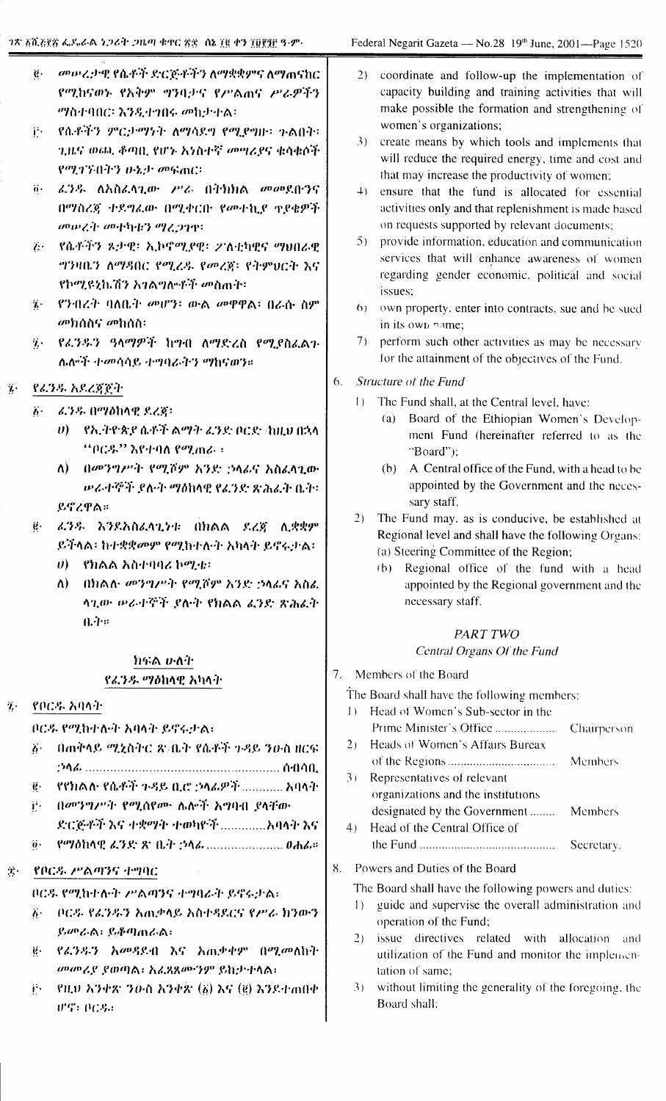- መሥረታዊ የሴቶች ድርጅቶችን ለማቋቋምና ለማጠናከር  $\ddot{\theta}$ . የሚከናወኑ የአቅም ማንባታና የሥልጠና ሥራዎችን *ማ*ስተባበር፡ እንዲተገበሩ መከታተል፡
- ች የሴቶችን ምርታማነት ለማሳደግ የሚደግዙ፡ ጉልበት፡-ጊዜና ወጪ ቆጣቢ የሆኑ አነስተኛ መሣሪያና ቁሳቁሶች የሚገኙበትን ሁኔታ መፍጠር።
- ij· ፈንዱ ለአስፈላጊው ሥራ በትክክል መመደበ፡ንና በማስረጃ ተደግሬው በሚቀርቡ የመተኪያ ተያቄዎች መሠረት መተካተን ማረጋገዋ፡
- ?: የሴቶችን ጾታዊ፡ ኢኮኖሚያዊ፡ 2ንስቲካዊና ማህበራዊ ግንዛቤን ለማዳበር የሚረዱ የመረጀ፡ የትምህርት እና የኮሚዩኒኬሽን አንልግሎቶች መስጠት፡
- 7. የንብረት ባለቤት መሆን፡ ውል መዋዋል፡ በራሱ ስም መክሰስና መከሰስ፡-
- 7. የፈንዱን ዓላማዎች ከማብ ለማድረስ የሚያስፈልጉ ሌሎች ተመሳሳይ ተግባራትን ማከናወን።
- የፈንዱ አደረጃጀት  $\eta$  .
	- $b^+$ ሬጋዱ በማዕከላዊ ደረጅ፡
		- υ) የኢትዮጵያ ሴቶች ልማት ፈንድ ቦርድ /ከዚህ በኋላ "ቦርዱ" እየተባለ የሚጠራ ፡
		- ለ) በመንግሥት የሚሾም አንድ ኃላፊና አስፈላጊው ውራተኞች ደለት ማዕከላዊ የፈንድ ጽሕፈት ቤት፡-ይኖረዋል።
	- $\ddot{\mathbf{g}}$ . ፊንዱ እንደአስፈላጊነቱ በክልል ደረጀ ሊቋቋም ይችላል፡ ከተቋቋመም የሚከተሉት አካላት ይኖሩታል፡
		- $\theta$ ) የክልል አስተባባሪ ኮሚቴ፡
		- ለ) በክልሉ መንግሥት የሚሾም አንድ ኃላፊና አስፌ ላጊው ሥራተኞች ያሉት የክልል ፊንድ ጽሕፈት  $0.44$

### れぶる かんれ የፊንዱ ማዕከላዊ አካላት

የቦርዳ አባላት  $\ddot{\mathbf{z}}$ .

ቦርዳ የሚከተለቀት አባላት ይኖሩታል፡

- በጠቅላይ ሚኒስትር ጽ/ቤት የሴቶች ጉዳይ ንዑስ ዘርፍ  $\ddot{b}$ .
- የየክልሉ የሴቶች ጉዳይ ቢሮ ኃላፊዎች ............ አባላት  $\ddot{\theta}$ .
- በመንግሥት የሚሰየሙ ሌሎች አግባብ ያላቸው Ë.
- የማዕከላዊ ፈንድ ጽንቤት ኃላፊ ........................ 0ሐፊ።  $\dddot{\theta}$ .

#### $\mathbf{J}_\mathrm{S}$  : የቦርዱ ሥልጣንና ተግባር

ቦርዳ የሚከተሉት ሥልጣንና ተግባራት ይኖሩታል፡

- ቦርዱ የፈንዱን አጨቃላይ አስተዳደርና የሥራ ክንውን  $\ddot{b}$ . ይመራል፡ ይቆጣጠራል፡
- ё· የፊንዱን አመዳደብ እና አጨቃቀም በሚመለከት መመሪያ ያወጣል፡ አፈጻጸሙንም ይከታተላል፡
- የዚህ አንቀጽ ንዑስ አንቀጽ (፩) እና (፪) እንደተጠበቀ ij. **UPS: 008.:**
- $2)$ coordinate and follow-up the implementation of capacity building and training activities that will make possible the formation and strengthening of women's organizations:
- 3) create means by which tools and implements that will reduce the required energy, time and cost and that may increase the productivity of women;
- 4) ensure that the fund is allocated for essential activities only and that replenishment is made based on requests supported by relevant documents:
- 5) provide information, education and communication services that will enhance awareness of women regarding gender economic, political and social issues:
- 6) own property, enter into contracts, sue and be sued in its own name:
- 7) perform such other activities as may be necessary for the attainment of the objectives of the Fund.
- 6. Structure of the Fund
	- 1) The Fund shall, at the Central level, have:
		- (a) Board of the Ethiopian Women's Development Fund (hereinafter referred to as the "Board"):
		- (b) A Central office of the Fund, with a head to be appointed by the Government and the necessary staff.
	- 2) The Fund may, as is conducive, be established at Regional level and shall have the following Organs: (a) Steering Committee of the Region;
		- (b) Regional office of the fund with a head appointed by the Regional government and the necessary staff.

# PART TWO

## Central Organs Of the Fund

7. Members of the Board

The Board shall have the following members:

- 1) Head of Women's Sub-sector in the Prime Minister's Office ................... **Chairperson** 2) Heads of Women's Affairs Bureax Members Representatives of relevant  $3)$ organizations and the institutions designated by the Government........ Members  $4)$ Head of the Central Office of Secretary.
- 8. Powers and Duties of the Board

The Board shall have the following powers and duties:

- $1)$ guide and supervise the overall administration and operation of the Fund;
- 2) issue directives related with allocation and utilization of the Fund and monitor the implementation of same:
- without limiting the generality of the foregoing, the  $(3)$ Board shall: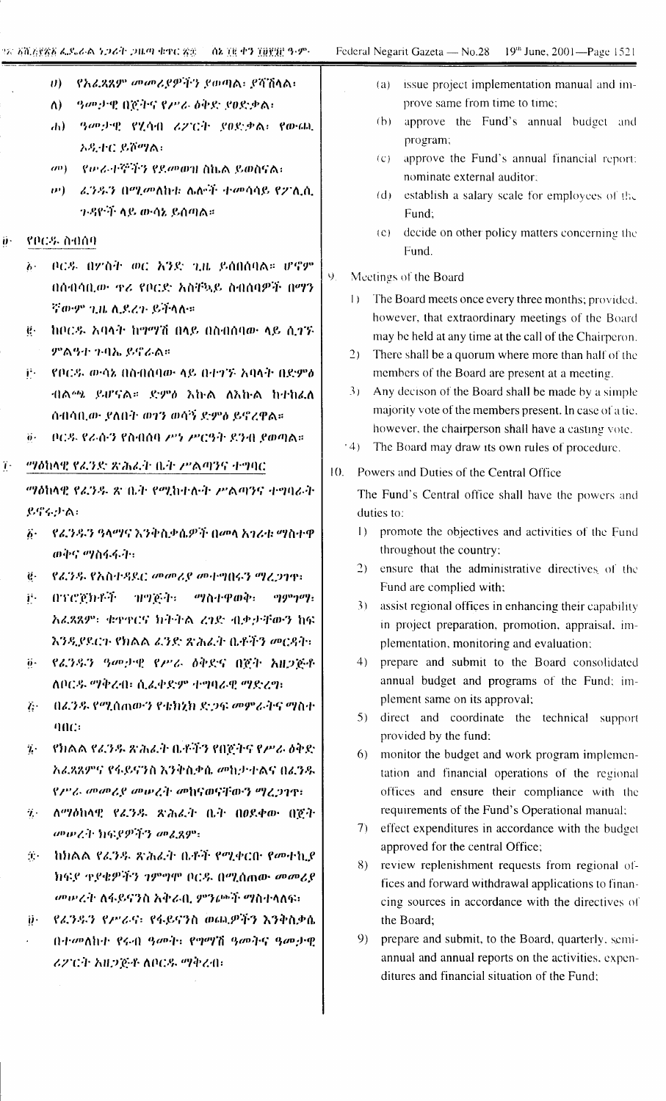ij٠

 $\dddot{\imath}$ .

ንጽ <u>እሺያያኛል ፌ</u>ዴራል *ነጋሪት ጋዜ*ጣ ቁተር <u>ጽ</u>ድ | ሰኔ ፲፱ ቀን ፲፱፻፺፫ ዓ-ም-የአፈጻጸም መመሪያዎችን ያወጣል፡ ያሻሽላል፡  $U$ (a) issue project implementation manual and im-*ዓመታዊ* በጀትና የሥራ ዕቅድ ያፀድቃል፡ prove same from time to time:  $\Lambda$ ) (b) approve the Fund's annual budget and ሐ) ያ*መታዊ የ*ሂሳብ ሪፖርት ያፀድቃል፣ የውጨ program; አዲተር ይሾማል፣ (c) approve the Fund's annual financial report: መ) የ*ው*ራተኞችን የደመወዝ ስኬል ይወስናል፡ nominate external auditor: ው) - ፊንዱን በሚመለከቱ ሌሎች ተመሳሳይ የፖሊሲ (d) establish a salary scale for employees of the 7-88 ች ላይ ውሳኔ ይሰጣል። Fund: (e) decide on other policy matters concerning the የቦርዱ ስብሰባ Fund. ቦርዳ በፖስት ወር አንድ ጊዜ ይሰበስባል። ሆኖም  $b<sub>1</sub>$ Ý. Meetings of the Board በሰብሳቢው ዋሪ የቦርድ አስቸኳይ ስብሰባዎች በማን 1) The Board meets once every three months; provided. ኛውም ጊዜ ሲደረጉ ይችላሉ። however, that extraordinary meetings of the Board ከቦርዱ አባላት ከማማሽ በላይ በስብሰባው ላይ ሲገኙ  $\ddot{\mathbf{e}}$ . may be held at any time at the call of the Chairperon. ምልዓተ ጉባኤ ይኖራል። 2) There shall be a quorum where more than half of the i<sup>2</sup> የቦርዳ ውሳኔ በስብሰባው ላይ በተገኙ አባላት በድምል members of the Board are present at a meeting. 3) Any decison of the Board shall be made by a simple ብልጫ ይሆናል። ድምፅ እኩል ለእኩል ከተከፈለ majority vote of the members present. In case of a tie. ሰብሳቢው ደለበት ወገን ወሳኝ ድምፅ ይኖረዋል። however, the chairperson shall have a casting vote. ቦርዱ የራሱን የስብሰባ ሥነ ሥርዓት ደንብ ያወጣል። <sup>4</sup> (4) The Board may draw its own rules of procedure. "ሃዕከላዊ የፈንድ ጽሕፈት ቤት ሥልጣንና ተግባር 10. Powers and Duties of the Central Office "ሃዕከላዊ የፈንዱ ጽ ቤት የሚከተሉት ሥልጣንና ተግባራት The Fund's Central office shall have the powers and ይኖሩታል: duties to: 1) promote the objectives and activities of the Fund ፩· \_ የፊንዱን ዓላማና እንቅስቃሴዎች በመላ አንራቱ ማስተዋ throughout the country: ወቅና ማስፋፋት፡ 2) ensure that the administrative directives of the የፊንዱ የአስተዳደር መመሪያ መተግበሩን ማረጋገዋ፡- $\ddot{\mathbf{e}}$ . Fund are complied with; በፕሮጀክቶች ዝግጅት፡ ማስተዋወቅ፡ji.  $qg\sigma q\sigma q$ : 3) assist regional offices in enhancing their capability አፈጻጸም፡ ቁዋዋርና ክትትል ረገድ ብቃታቸውን ከፍ in project preparation, promotion, appraisal, im-እንዲያደርጉ የክልል ፊንድ ጽሕፈት ቤቶችን መርዳት፣ plementation, monitoring and evaluation; የፊንዱን ዓመታዊ የሥራ ዕቅድና በጀት አዘጋጅቶ  $\dddot{\theta}$ .  $4)$ prepare and submit to the Board consolidated annual budget and programs of the Fund; im-ለቦርዱ ማቅረብ፣ ሲፈቀድም ተግባራዊ ማድረግ፡ plement same on its approval: በፈንዱ የሚሰጠውን የቴክኒክ ድጋፍ መምራትና ማስተ  $\hat{L}$ . 5) direct and coordinate the technical support  $90C:$ provided by the fund: የክልል የፈንዱ ጽሕፈት ቤቶችን የበጀትና የሥራ ዕቅድ  $\dddot{\mathbf{z}}$ . 6) monitor the budget and work program implemen-አፈጻጸምና የፋይናንስ እንቅስቃሴ መከታተልና በፈንዱ tation and financial operations of the regional የሥራ መመሪያ መሠረት መከናወናቸውን ማረጋገዋ፣ offices and ensure their compliance with the requirements of the Fund's Operational manual: ለማዕከላዊ የፈንዱ ጽሕፈት ቤት በዐደቀው በጀት  $\eta_{\rm eff}$ 7) effect expenditures in accordance with the budget መውረት ክፍያዎችን መፈጸም፡ approved for the central Office; ከክልል የፈንዱ ጽሕፈት ቤቶች የሚቀርቡ የመተኪያ  $\hat{\mathbf{R}}$  . 8) review replenishment requests from regional of-ክፍያ ተያቄዎችን ንምግሞ ቦርዱ በሚሰጠው መመሪያ fices and forward withdrawal applications to finan-መሥረት ለፋይናንስ አቅራቢ ምንጮች ማስተላለፍ፣ cing sources in accordance with the directives of  $\ddot{\boldsymbol{\mathcal{Y}}}$ . የፈንዱን የሥራና፡ የፋይናንስ ወጪዎችን እንቅስቃሴ the Board;

በተመለከተ የሩብ ዓመት: የማማሽ ዓመትና ዓመታዊ

ሪፖርት አዘጋጅቶ ለቦርዱ ማቅረብ፡

prepare and submit, to the Board, quarterly, semi- $9)$ annual and annual reports on the activities, expenditures and financial situation of the Fund;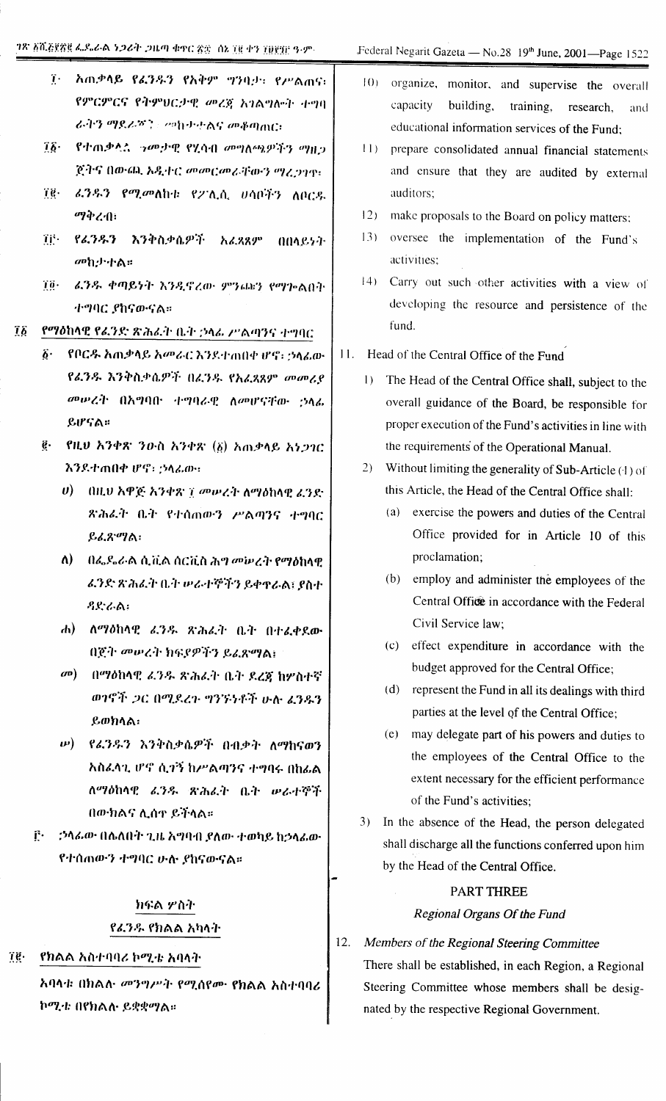- ፲ አጠቃላይ የፊንዱን የአቅም ግንባታ። የሥልጠና። የምርምርና የትምህርታዊ መረጀ አገልግሎት ተግባ ራትን ማደራሻን 20ነውታልና መቆጣጠር:
- የተጠቃሏል *ነ*መታዊ የሂሳብ መግለጫዎችን ማዘጋ  $76 -$ ጀትና በውጨ አዲተር መመርመራቸውን ማረጋገዋ፣
- ፈንዱን የሚመለከቱ የፖሊሲ ሀሳቦችን ለቦርዱ ïë. ማቅረብ፣
- TF የፈንዱን እንቅስቃሴዎች አፈጸጸም 004857-መከታተል።
- $70 -$ ሬንዱ ቀጣይነት እንዲኖረው ምንጨን የማኰልበት ተግባር ያከናውናል።
- የማዕከላዊ የፊንድ ጽሕፈት ቤት ኃላፊ ሥልጣንና ተግባር  $\overline{1}\overline{b}$ 
	- የቦርዱ አጠቃላይ አመራር እንደተጠበቀ ሆኖ፡ ኃላፊው  $\hat{\boldsymbol{b}}$ . የፊንዱ እንቅስቃሴዎች በፊንዱ የአፈጻጸም መመሪያ መሥረት በአግባበ ተግባራዊ ለመሆናቸው ኃላፊ ይሆናል።
	- ፪· የዚህ አንቀጽ ንውስ አንቀጽ (፩) አጠቃላይ አነጋገር እንደተጠበቀ ሆኖ፡ : ኃላፊው።
		- ሀ) በዚህ አዋጅ አንቀጽ ፲ መሥረት ለማዕከላዊ ፈንድ ጽሕራት ቤት የተሰጠውን ሥልጣንና ተግባር ይፈጽማል:
		- ለ) በፌዴራል ሲቪል ሰርቪስ ሕግ መሠረት የማዕከላዊ ሬንድ ጽሕፈት ቤት ሥራተኞችን ይቀዋራል፣ ያስተ  $22.66$
		- ሐ) ለማዕከላዊ ፈንዱ ጽሕፈት ቤት በተፈቀደው በጀት መሠረት ክፍያዎችን ይፈጽማል፤
		- መ) በማዕከላዊ ፈንዱ ጽሕፈት ቤት ደረጃ ከሦስተኛ ወንኖች ጋር በሚደረጉ ግንኙነቶች ሁሉ ፈንዱን ይወክላል:
		- **ω) የፈንዱን እንቅስቃሴዎች በብቃት ለማከናወን** አስፌሳጊ ሆኖ ሲገኝ ከሥልጣንና ተግባሩ በከፌል ለማዕከላዊ ፊንዱ ጽሕፈት ቤት ሥራተኞች በውክልና ሊሰተ ይችላል።
	- $\mathbf{F}$ . *ኃላፊው* በሴለበት ጊዜ አግባብ ያለው ተወካይ ከኃላፊው የተሰጠውን ተግባር ሁሉ ያከናውናል።

# ክፍል ሦስት የፊንዱ የክልል አካላት

የክልል አስተባባሪ ኮሚቴ አባላት  $70 -$ 

> አባላቱ በክልሉ መንግሥት የሚሰየሙ የክልል አስተባባሪ ኮሚቴ በየክልሉ ይቋቋማል።

- $10<sub>1</sub>$ organize, monitor, and supervise the overall capacity building, training, research. and educational information services of the Fund:
- $11<sub>1</sub>$ prepare consolidated annual financial statements and ensure that they are audited by external auditors;
- $12)$ make proposals to the Board on policy matters:
- $13)$ oversee the implementation of the Fund's activities;
- 14) Carry out such other activities with a view of developing the resource and persistence of the fund.
- 11. Head of the Central Office of the Fund
	- 1) The Head of the Central Office shall, subject to the overall guidance of the Board, be responsible for proper execution of the Fund's activities in line with the requirements of the Operational Manual.
	- 2) Without limiting the generality of Sub-Article (1) of this Article, the Head of the Central Office shall:
		- (a) exercise the powers and duties of the Central Office provided for in Article 10 of this proclamation;
		- (b) employ and administer the employees of the Central Office in accordance with the Federal Civil Service law;
		- (c) effect expenditure in accordance with the budget approved for the Central Office:
		- (d) represent the Fund in all its dealings with third parties at the level of the Central Office:
		- (e) may delegate part of his powers and duties to the employees of the Central Office to the extent necessary for the efficient performance of the Fund's activities:
	- 3) In the absence of the Head, the person delegated shall discharge all the functions conferred upon him by the Head of the Central Office.

## PART THREE

#### Regional Organs Of the Fund

#### 12. Members of the Regional Steering Committee

There shall be established, in each Region, a Regional Steering Committee whose members shall be designated by the respective Regional Government.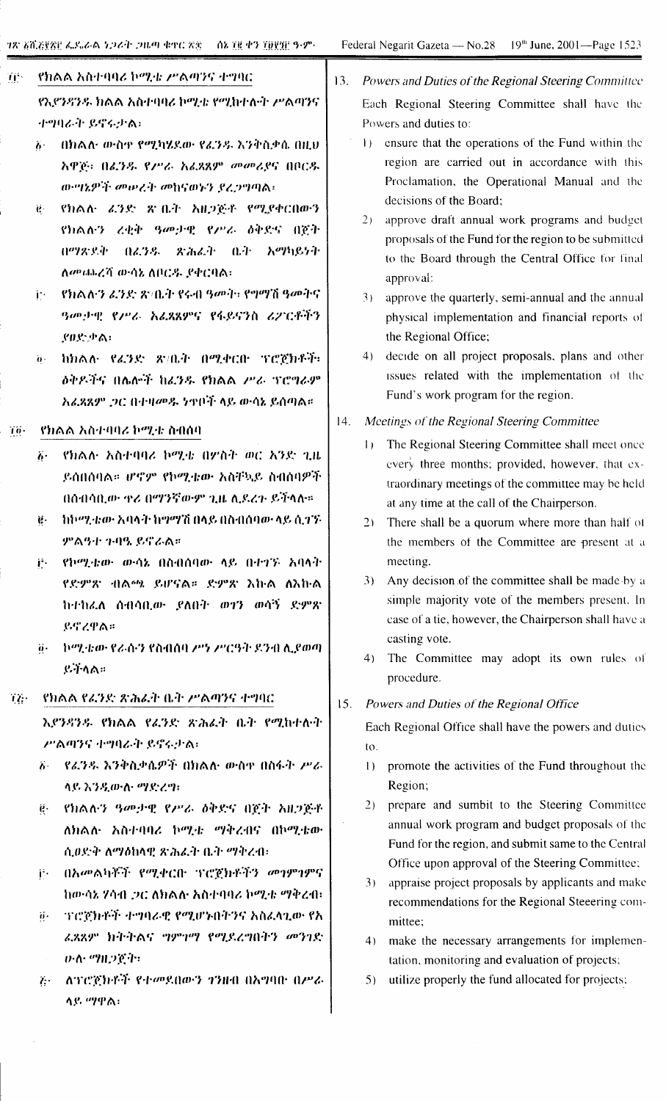## Tis. የክልል አስተባባሪ ኮሚቴ ሥልጣንና ተግባር የኢየንዳንዱ ክልል አስተባባሪ ኮሚቴ የሚከተሉት ሥልጣንና

- $\dddot{\mathbf{h}}$ በክልሉ ውስቁ የሚካሄደው የፊንዱ እንቅስቃሴ በዚህ አዋጅ፡ በፈንዱ የሥራ አፈጻጸም መመሪያና በቦርዱ ውግኔዎች መሠረት መከናወኑን የረጋግጣል፡
- የክልሉ ፊንድ ጽብረት አዘጋጅቶ የሚያቀርበውን  $\ddot{\mathbf{e}}$ የክልሉን ረቂቅ ዓመታዊ የሥራ ዕቅድና በሮት በማጽደቅ በፈንዱ ዳሕሬት ቤት አማካይነት ለመጨረሻ ውሳኔ ለቦርዱ የቀርባል፡
- የክልሉን ፈንድ ጽ ቤት የሩብ ዓመት፣ የግማሽ ዓመትና i۰ ዓመታዊ የሥራ አፈጻጸምና የፋይናንስ ሪፖርቶችን ያወድቃል:
- ከክልሉ የፈንድ ጽ/ቤት በሚቀርቡ ፕሮጀክቶች፡  $\ddot{\theta}$  . <u> ለቅዶችና በሌሎች ከፈንዱ የክልል ሥራ ፕሮግራም</u> አፈጻጸም ጋር በተዛመዱ ነቀቦች ላይ ውሳኔ ይሰጣል።

#### የክልል አስተባባሪ ኮሚቴ ስብሰባ  $70 -$

ተግባራት ይኖሩታል፡

- የክልሉ አስተባባሪ ኮሚቴ በዎስት ወር አንድ ጊዜ  $\ddot{b}$ . ይሰበስባል። ሆኖም የኮሚቴው አስቸኳይ ስብስባዎች በሰብሳቢው ዋሪ በማንኛውም ጊዜ ሊደረጉ ይችላሉ።
- ከኮሚቴው አባላት ከማማሽ በላይ በስብሰባው ላይ ሲገኙ  $\ddot{e}$ . *ምልዓተ ጉባዔ ይኖራ*ል።
- የኮሚቴው ውሳኔ በስብሰባው ላይ በተገኙ አባላት jì. የድምጽ ብልጫ ይሆናል። ድምጽ እኩል ለእኩል ከተከሬለ ሰብሳቢው ያለበት ወገን ወሳኝ ድምጽ ይኖረዋል።
- ትሚቴው የራሱን የስብሰባ ሥነ ሥርዓት ደንብ ሊያወጣ  $\ddot{a}$ . ይችላል።
- TZ. የክልል የሬንድ ጽሕፊት ቤት ሥልጣንና ተግባር

አያንዳንዱ የክልል የፈንድ ጽሕፈት ቤት የሚከተሉት ሥልጣንና ተግባራት ይኖሩታል፡

- δ = የፊንዱ እንቅስቃሴዎች በክልሉ ውስዋ በስፋት ሥራ ላይ እንዲውሉ ማድረግ፡
- የክልሉን ዓመታዊ የሥራ ዕቅድና በጀት አዘጋጅቶ  $\ddot{\mathbf{e}}$  . ለክልሉ አስተባባሪ ኮሚቴ ማቅረብና በኮሚቴው ሲወድቅ ለማዕከላዊ ጽሕፈት ቤት ማቅረብ፡
- ij· በአመልካቾች የሚቀርቡ ፕሮጀክቶችን መንምነምና ከውሳኔ ሃሳብ ጋር ለክልሉ አስተባባሪ ኮሚቴ ማቅረብ፣
- ገገሮጀክቶች ተግባራዊ የሚሆኑበትንና አስፈላጊው የአ  $\dddot{\theta}$ . ሬ.ጻጸም ክትትልና ግምገማ የሚደረግበትን መንገድ ひふ ツルつです
- ለፕሮጀክቶች የተመደበውን ገንዘብ በአግባበ በሥራ  $\mathcal{E}^{(1)}$ ላይ ማዋል፡
- $13.$ Powers and Duties of the Regional Steering Committee Each Regional Steering Committee shall have the Powers and duties to:
	- 1) ensure that the operations of the Fund within the region are carried out in accordance with this Proclamation, the Operational Manual and the decisions of the Board:
	- 2) approve draft annual work programs and budget proposals of the Fund for the region to be submitted to the Board through the Central Office for final approval:
	- 3) approve the quarterly, semi-annual and the annual physical implementation and financial reports of the Regional Office;
	- 4) decide on all project proposals, plans and other issues related with the implementation of the Fund's work program for the region.

 $14.$ Meetings of the Regional Steering Committee

- 1) The Regional Steering Committee shall meet once every three months; provided, however, that extraordinary meetings of the committee may be held at any time at the call of the Chairperson.
- 2) There shall be a quorum where more than half of the members of the Committee are present at a meeting.
- 3) Any decision of the committee shall be made by a simple majority vote of the members present. In case of a tie, however, the Chairperson shall have a casting vote.
- 4) The Committee may adopt its own rules of procedure.

#### $15.$ Powers and Duties of the Regional Office

Each Regional Office shall have the powers and duties  $\overline{\text{to}}$ :

- 1) promote the activities of the Fund throughout the Region:
- prepare and sumbit to the Steering Committee  $2)$ annual work program and budget proposals of the Fund for the region, and submit same to the Central Office upon approval of the Steering Committee:
- $3)$ appraise project proposals by applicants and make recommendations for the Regional Steeering committee;
- $4)$ make the necessary arrangements for implementation, monitoring and evaluation of projects;
- utilize properly the fund allocated for projects;  $5)$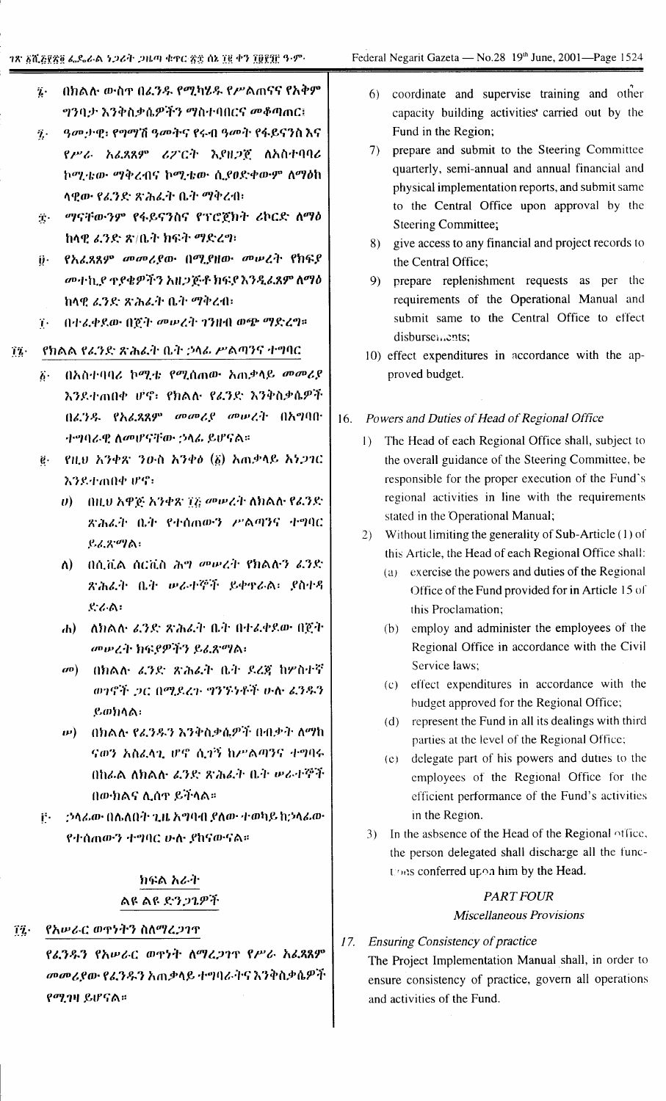- በክልሉ ውስዋ በፊንዱ የሚካሄዱ የሥልጠናና የአቅም  $\dddot{\imath}$ . ግንባታ እንቅስቃሴዎችን ማስተባበርና መቆጣጠር፤
- ዓመታዊ፣ የግማሽ ዓመትና የሩብ ዓመት የፋይናንስ እና  $\ddot{\mathbf{z}}$ . የሥራ አፈጻጸም ሪፖርት እያዘጋጀ ለአስተባባሪ ኮሚቴው ማቅረብና ኮሚቴው ሲያፀድቀውም ለማዕከ ላዊው የፈንድ ጽሕፈት ቤት ማቅረብ፡
- ቿ ማናቸውንም የፋይናንስና የፕሮጀክት ሪኮርድ ለማዕ ከላዊ ፈንድ ጽ/ቤት ክፍት ማድረማ፡
- ij· የአፈጸጸም መመሪያው በሚያዘው መሠረት የክፍያ መተኪያ ዋያቄዎችን አዘጋጅቶ ክፍያ እንዲፈጸም ለማዕ ከላዊ ፈንድ ጽሕፈት ቤት ማቅረብ፡
- 7. በተፈቀደው በጀት መሠረት ገንዘብ ወጭ ማድረግ።

#### የክልል የፊንድ ጽሕፈት ቤት ኃላፊ ሥልጣንና ተግባር  $17 -$

- በአስተባባሪ ኮሚቴ የሚሰጠው አጠቃላይ መመሪያ  $\ddot{b}$ . እንደተጠበቀ ሆኖ፡ የክልሉ የፊንድ እንቅስቃሴዎች በፊንዱ የአፊጸጸም መመሪያ መሥረት በአግባበ ተማባራዊ ለመሆናቸው ኃላፊ ይሆናል።
- ë የዚህ አንቀጽ ንዑስ አንቀծ (ö) አጠቃላይ አነጋገር እንደተጠበቀ ሆኖ፡
	- $\theta$ ) በዚህ አዋጅ አንቀጽ ፲፭ መሠረት ለክልሉ የፊንድ ጽሕፈት ቤት የተሰጠውን ሥልጣንና ተግባር ይፈጽማል፡
	- በሲቪል ሰርቪስ ሕግ መሠረት የክልሉን ፈንድ ለ) -ጽሕፈት ቤት ሥራተኞች ይቀዋራል፡ ያስተዳ ድራል፡
	- ሐ) ለክልሉ ፊንድ ጽሕፈት ቤት በተፈቀደው በጀት መሠረት ክፍያዎችን ይፈጽማል፡
	- መ) በክልሉ ፈንድ ጽሕፈት ቤት ደረጃ ከዎስተኛ ወነኖች ጋር በሚደረጉ ግንኙነቶች ሁሉ ፊንዱን ይወክላል፡
	- በክልሉ የፈንዱን እንቅስቃሴዎች በብቃት ለማከ  $\bm{\nu})$ ናወን አስፈላጊ ሆኖ ሲተኝ ከሥልጣንና ተግባሩ በከራል ለክልሉ ፈንድ ጽሕፈት ቤት ሥራተኞች በውክልና ሊሰዋ ይችላል።
- − ፡ ኃላፊው በሴለበት ጊዜ አግባብ ያለው ተወካይ ከኃላፊው Ë. የተሰጠውን ተግባር ሁሉ ያከናውናል።

# ክፍል አራት ልዩ ልዩ ድንጋጌዎች

የአሥራር ወዋነትን ስለማረ*ጋገ*ዋ  $72.$ 

> የፊንዱን የአሥራር ወዋነት ለማረጋገዋ የሥራ አፊጸጸም መመሪያው የፈንዱን አጠቃላይ ተግባራትና እንቅስቃሴዎች የሚገዛ ይሆናል።

- 6) coordinate and supervise training and other capacity building activities' carried out by the Fund in the Region;
- prepare and submit to the Steering Committee  $7)$ quarterly, semi-annual and annual financial and physical implementation reports, and submit same to the Central Office upon approval by the **Steering Committee:**
- 8) give access to any financial and project records to the Central Office;
- 9) prepare replenishment requests as per the requirements of the Operational Manual and submit same to the Central Office to effect disbursements;
- 10) effect expenditures in accordance with the approved budget.

#### 16. Powers and Duties of Head of Regional Office

- 1) The Head of each Regional Office shall, subject to the overall guidance of the Steering Committee, be responsible for the proper execution of the Fund's regional activities in line with the requirements stated in the Operational Manual;
- 2) Without limiting the generality of Sub-Article (1) of this Article, the Head of each Regional Office shall:
	- $(a)$  exercise the powers and duties of the Regional Office of the Fund provided for in Article 15 of this Proclamation;
	- (b) employ and administer the employees of the Regional Office in accordance with the Civil Service laws;
	- (c) effect expenditures in accordance with the budget approved for the Regional Office;
	- (d) represent the Fund in all its dealings with third parties at the level of the Regional Office;
	- (e) delegate part of his powers and duties to the employees of the Regional Office for the efficient performance of the Fund's activities in the Region.
- 3) In the asbsence of the Head of the Regional office, the person delegated shall discharge all the functions conferred upon him by the Head.

## **PART FOUR Miscellaneous Provisions**

#### 17. Ensuring Consistency of practice

The Project Implementation Manual shall, in order to ensure consistency of practice, govern all operations and activities of the Fund.